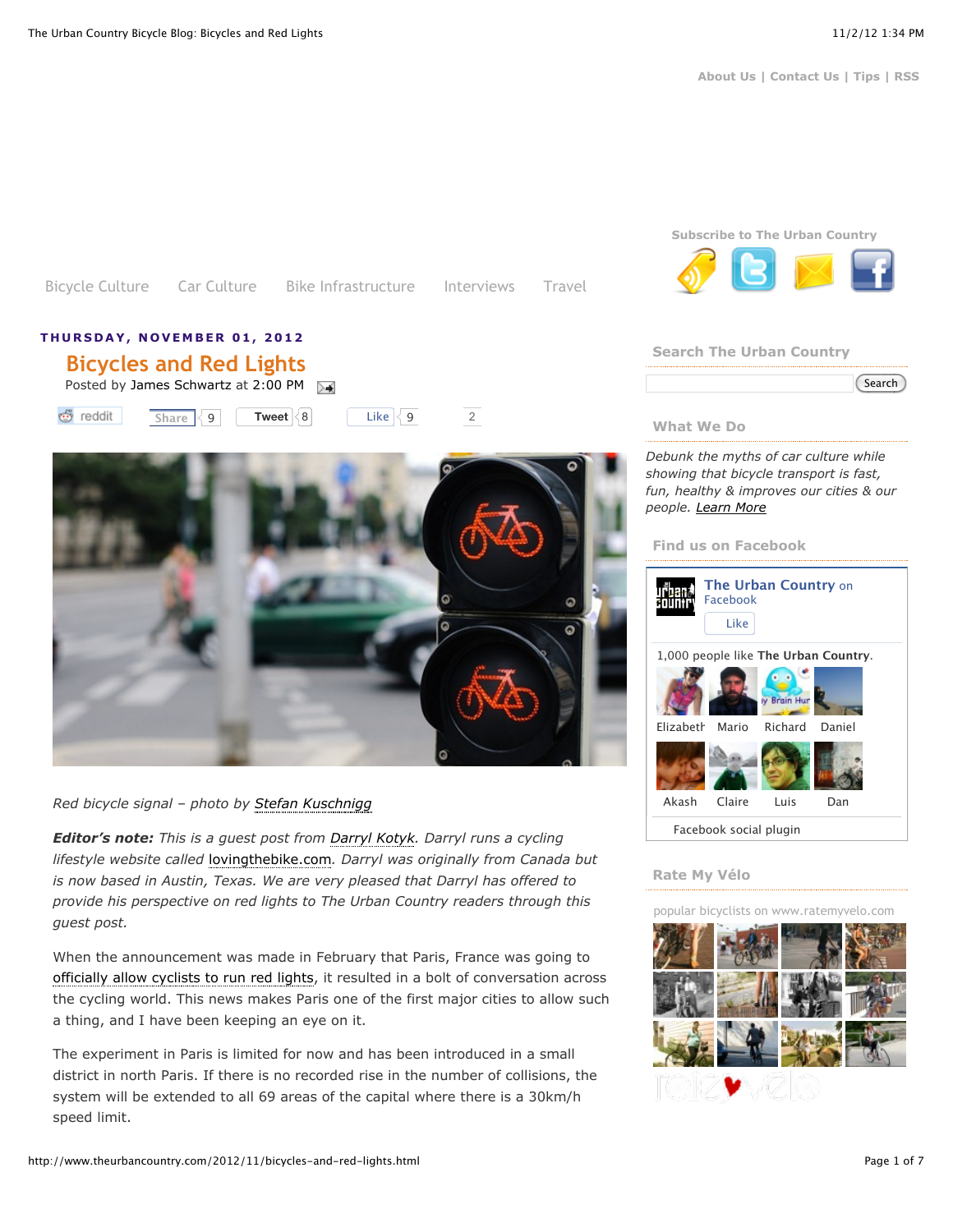[Bicycle Culture](http://www.theurbancountry.com/search/label/Bicycle%20Culture?max-results=7) [Car Culture](http://www.theurbancountry.com/search/label/Car%20Culture?max-results=7) [Bike Infrastructure](http://www.theurbancountry.com/search/label/Bike%20Infrastructure?max-results=7) [Interviews](http://www.theurbancountry.com/search/label/Interview?max-results=7) [Travel](http://www.theurbancountry.com/search/label/travel?max-results=7)



Posted by [James Schwartz](http://www.theurbancountry.com/p/about-us.html#James%20Schwartz) at [2:00 PM](http://www.theurbancountry.com/2012/11/bicycles-and-red-lights.html)

**[Tweet](https://twitter.com/intent/tweet?original_referer=http%3A%2F%2Fwww.theurbancountry.com%2F2012%2F11%2Fbicycles-and-red-lights.html&source=tweetbutton&text=The%20Urban%20Country%20Bicycle%20Blog%3A%20Bicycles%20and%20Red%20Lights&url=http%3A%2F%2Fwww.theurbancountry.com%2F2012%2F11%2Fbicycles-and-red-lights.html&via=jamesschwartz)**  $\begin{bmatrix} 8 \end{bmatrix}$  $\begin{bmatrix} 8 \end{bmatrix}$  $\begin{bmatrix} 8 \end{bmatrix}$  Like  $\begin{bmatrix} 9 \end{bmatrix}$  2 <del>ඒ</del> reddit  $Share \leq 9$  $Share \leq 9$ 



## *Red bicycle signal – photo by [Stefan Kuschnigg](http://www.flickr.com/photos/58614964@N02/5657707068/)*

*Editor's note: This is a guest post from [Darryl Kotyk.](http://www.twitter.com/lovingthebike) Darryl runs a cycling lifestyle website called* [lovingthebike.com](http://www.lovingthebike.com/)*. Darryl was originally from Canada but is now based in Austin, Texas. We are very pleased that Darryl has offered to provide his perspective on red lights to The Urban Country readers through this guest post.*

When the announcement was made in February that Paris, France was going to [officially allow cyclists to run red lights,](http://www.theurbancountry.com/2012/02/paris-cyclists-allowed-to-run-red.html) it resulted in a bolt of conversation across the cycling world. This news makes Paris one of the first major cities to allow such a thing, and I have been keeping an eye on it.

The experiment in Paris is limited for now and has been introduced in a small district in north Paris. If there is no recorded rise in the number of collisions, the system will be extended to all 69 areas of the capital where there is a 30km/h speed limit.



## **Search The Urban Country**

#### **What We Do**

*Debunk the myths of car culture while showing that bicycle transport is fast, fun, healthy & improves our cities & our people. [Learn More](http://www.theurbancountry.com/p/about-us.html)*

#### **Find us on Facebook**



#### **Rate My Vélo**

popular bicyclists on [www.ratemyvelo.com](http://www.ratemyvelo.com/)

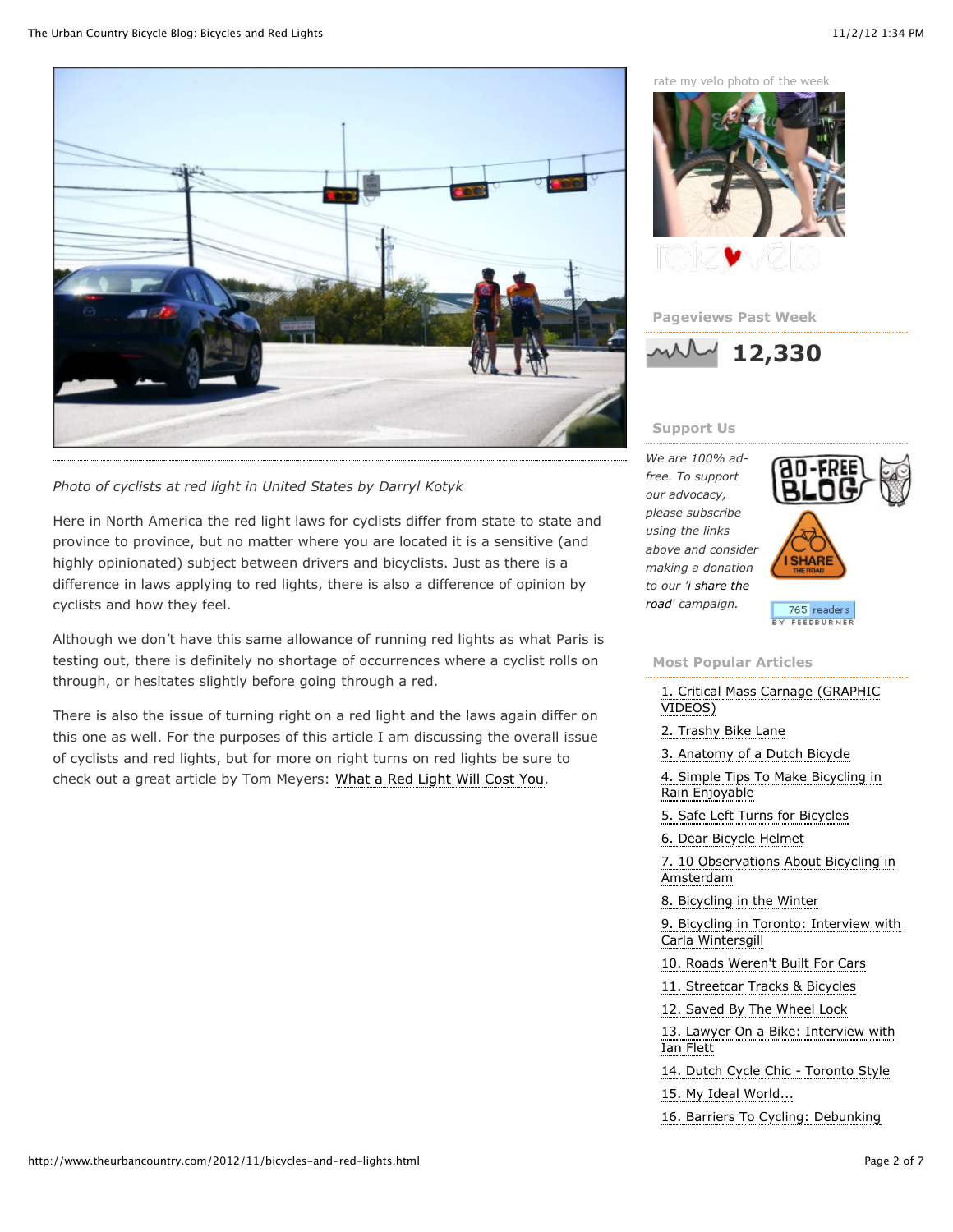

*Photo of cyclists at red light in United States by Darryl Kotyk*

Here in North America the red light laws for cyclists differ from state to state and province to province, but no matter where you are located it is a sensitive (and highly opinionated) subject between drivers and bicyclists. Just as there is a difference in laws applying to red lights, there is also a difference of opinion by cyclists and how they feel.

Although we don't have this same allowance of running red lights as what Paris is testing out, there is definitely no shortage of occurrences where a cyclist rolls on through, or hesitates slightly before going through a red.

There is also the issue of turning right on a red light and the laws again differ on this one as well. For the purposes of this article I am discussing the overall issue of cyclists and red lights, but for more on right turns on red lights be sure to check out a great article by Tom Meyers: [What a Red Light Will Cost You.](http://www.huffingtonpost.com/tom-meyers/bike-tickets-abroad-what-_b_1914552.html#slide=1569576)

[rate my velo](http://www.ratemyvelo.com/) photo of the week







# **Support Us**

*We are 100% adfree. To support our advocacy, please subscribe using the links above and consider making a donation [to our 'i share the](http://www.isharetheroad.com/) road' campaign.*



 $\overline{765}$  readers FEEDBURNER

## **Most Popular Articles**

[1. Critical Mass Carnage \(GRAPHIC](http://www.theurbancountry.com/2011/02/critical-mass-carnage.html) VIDEOS)

[2. Trashy Bike Lane](http://www.theurbancountry.com/2011/11/trashy-bike-lane.html)

[3. Anatomy of a Dutch Bicycle](http://www.theurbancountry.com/2011/01/anatomy-of-dutch-bicycle.html)

[4. Simple Tips To Make Bicycling in](http://www.theurbancountry.com/2011/04/simple-tips-making-bicycling-in-rain.html) Rain Enjoyable

[5. Safe Left Turns for Bicycles](http://www.theurbancountry.com/2010/11/safe-left-turns-for-bicycles.html)

[6. Dear Bicycle Helmet](http://www.theurbancountry.com/2012/06/dear-bicycle-helmet.html)

[7. 10 Observations About Bicycling in](http://www.theurbancountry.com/2012/03/10-observations-about-bicycling-in.html) Amsterdam

[8. Bicycling in the Winter](http://www.theurbancountry.com/2010/11/bicycling-in-winter.html)

[9. Bicycling in Toronto: Interview with](http://www.theurbancountry.com/2012/07/bicycling-in-toronto-interview-with.html) Carla Wintersgill

[10. Roads Weren't Built For Cars](http://www.theurbancountry.com/2011/07/roads-werent-built-for-cars.html)

[11. Streetcar Tracks & Bicycles](http://www.theurbancountry.com/2012/08/streetcar-tracks-bicycles.html)

[12. Saved By The Wheel Lock](http://www.theurbancountry.com/2012/09/saved-by-wheel-lock.html)

[13. Lawyer On a Bike: Interview with](http://www.theurbancountry.com/2012/07/lawyer-on-bike-interview-with-ian-flett.html) Ian Flett

[14. Dutch Cycle Chic - Toronto Style](http://www.theurbancountry.com/2010/12/dutch-cycle-chic-toronto-style.html)

[15. My Ideal World...](http://www.theurbancountry.com/2012/08/my-ideal-world.html)

[16. Barriers To Cycling: Debunking](http://www.theurbancountry.com/2009/11/barriers-to-cycling-debunking-myths.html)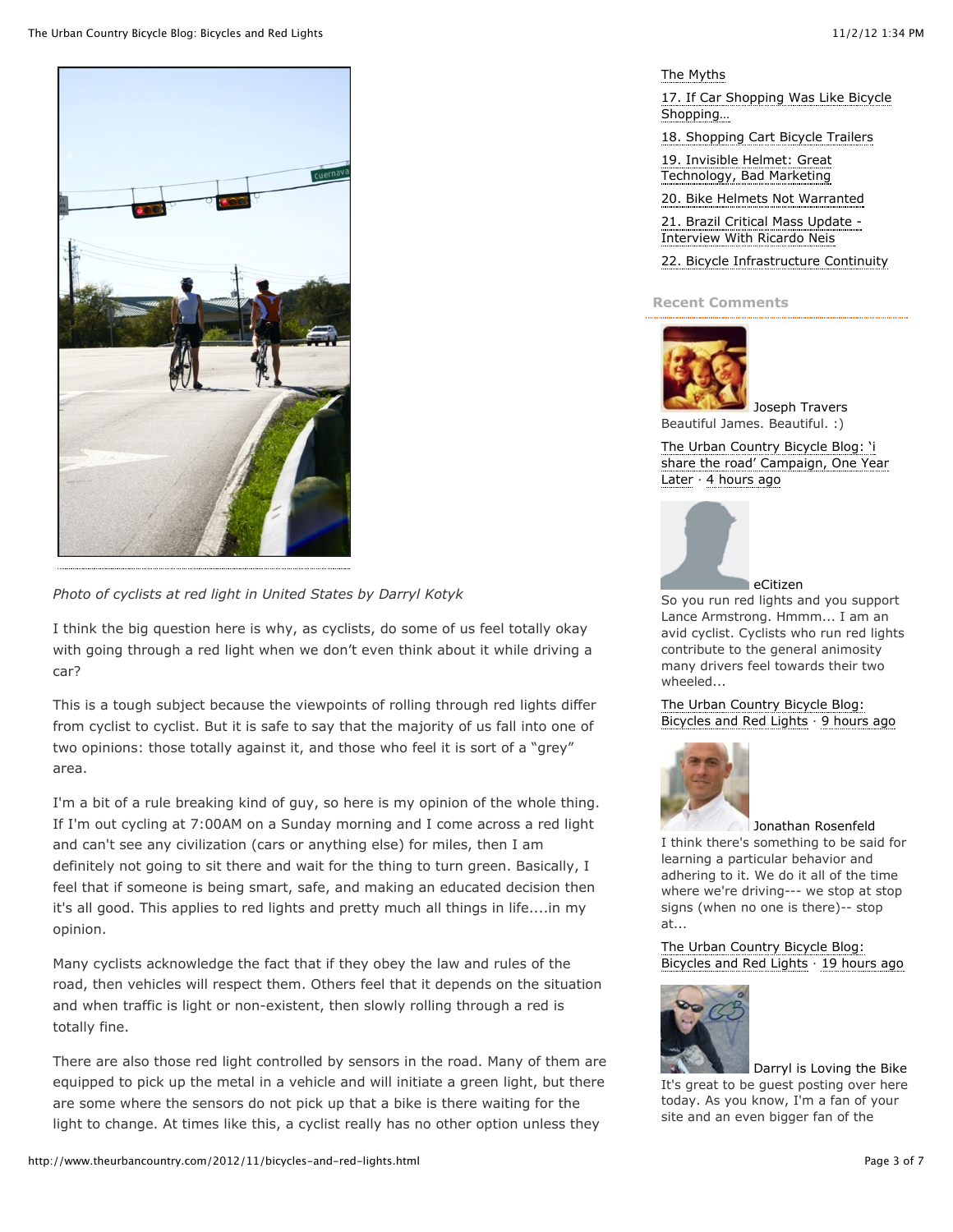

*Photo of cyclists at red light in United States by Darryl Kotyk*

I think the big question here is why, as cyclists, do some of us feel totally okay with going through a red light when we don't even think about it while driving a car?

This is a tough subject because the viewpoints of rolling through red lights differ from cyclist to cyclist. But it is safe to say that the majority of us fall into one of two opinions: those totally against it, and those who feel it is sort of a "grey" area.

I'm a bit of a rule breaking kind of guy, so here is my opinion of the whole thing. If I'm out cycling at 7:00AM on a Sunday morning and I come across a red light and can't see any civilization (cars or anything else) for miles, then I am definitely not going to sit there and wait for the thing to turn green. Basically, I feel that if someone is being smart, safe, and making an educated decision then it's all good. This applies to red lights and pretty much all things in life....in my opinion.

Many cyclists acknowledge the fact that if they obey the law and rules of the road, then vehicles will respect them. Others feel that it depends on the situation and when traffic is light or non-existent, then slowly rolling through a red is totally fine.

There are also those red light controlled by sensors in the road. Many of them are equipped to pick up the metal in a vehicle and will initiate a green light, but there are some where the sensors do not pick up that a bike is there waiting for the light to change. At times like this, a cyclist really has no other option unless they

[The Myths](http://www.theurbancountry.com/2009/11/barriers-to-cycling-debunking-myths.html)

[17. If Car Shopping Was Like Bicycle](http://www.theurbancountry.com/2012/09/if-car-shopping-was-like-bicycle.html) Shopping…

[18. Shopping Cart Bicycle Trailers](http://www.theurbancountry.com/2011/01/shopping-cart-bicycle-trailers.html)

[19. Invisible Helmet: Great](http://www.theurbancountry.com/2012/09/invisible-helmet-great-technology.html) Technology, Bad Marketing

[20. Bike Helmets Not Warranted](http://www.theurbancountry.com/2010/09/bike-helmets-not-warranted.html) [21. Brazil Critical Mass Update -](http://www.theurbancountry.com/2011/04/brazil-critical-mass-updateinterview.html) Interview With Ricardo Neis

[22. Bicycle Infrastructure Continuity](http://www.theurbancountry.com/2012/08/bicycle-infrastructure-continuity.html)

#### **Recent Comments**



[Joseph Travers](http://disqus.com/facebook-839895404/) Beautiful James. Beautiful. :)

The Urban Country Bicycle Blog: 'i [share the road' Campaign, One Year](http://www.theurbancountry.com/2012/10/i-share-road-campaign-one-year-later.html) Later  $\cdot$  [4 hours ago](http://www.theurbancountry.com/2012/10/i-share-road-campaign-one-year-later.html#comment-698628322)



So you run red lights and you support Lance Armstrong. Hmmm... I am an avid cyclist. Cyclists who run red lights contribute to the general animosity many drivers feel towards their two wheeled...

[The Urban Country Bicycle Blog:](http://www.theurbancountry.com/2012/11/bicycles-and-red-lights.html) Bicycles and Red Lights  $\cdot$  [9 hours ago](http://www.theurbancountry.com/2012/11/bicycles-and-red-lights.html#comment-698496529)



[Jonathan Rosenfeld](http://disqus.com/goose575/) I think there's something to be said for learning a particular behavior and adhering to it. We do it all of the time where we're driving--- we stop at stop signs (when no one is there)-- stop at...

[The Urban Country Bicycle Blog:](http://www.theurbancountry.com/2012/11/bicycles-and-red-lights.html) Bicycles and Red Lights  $\cdot$  [19 hours ago](http://www.theurbancountry.com/2012/11/bicycles-and-red-lights.html#comment-698265030)



[Darryl is Loving the Bike](http://disqus.com/lovingthebike/) It's great to be guest posting over here today. As you know, I'm a fan of your site and an even bigger fan of the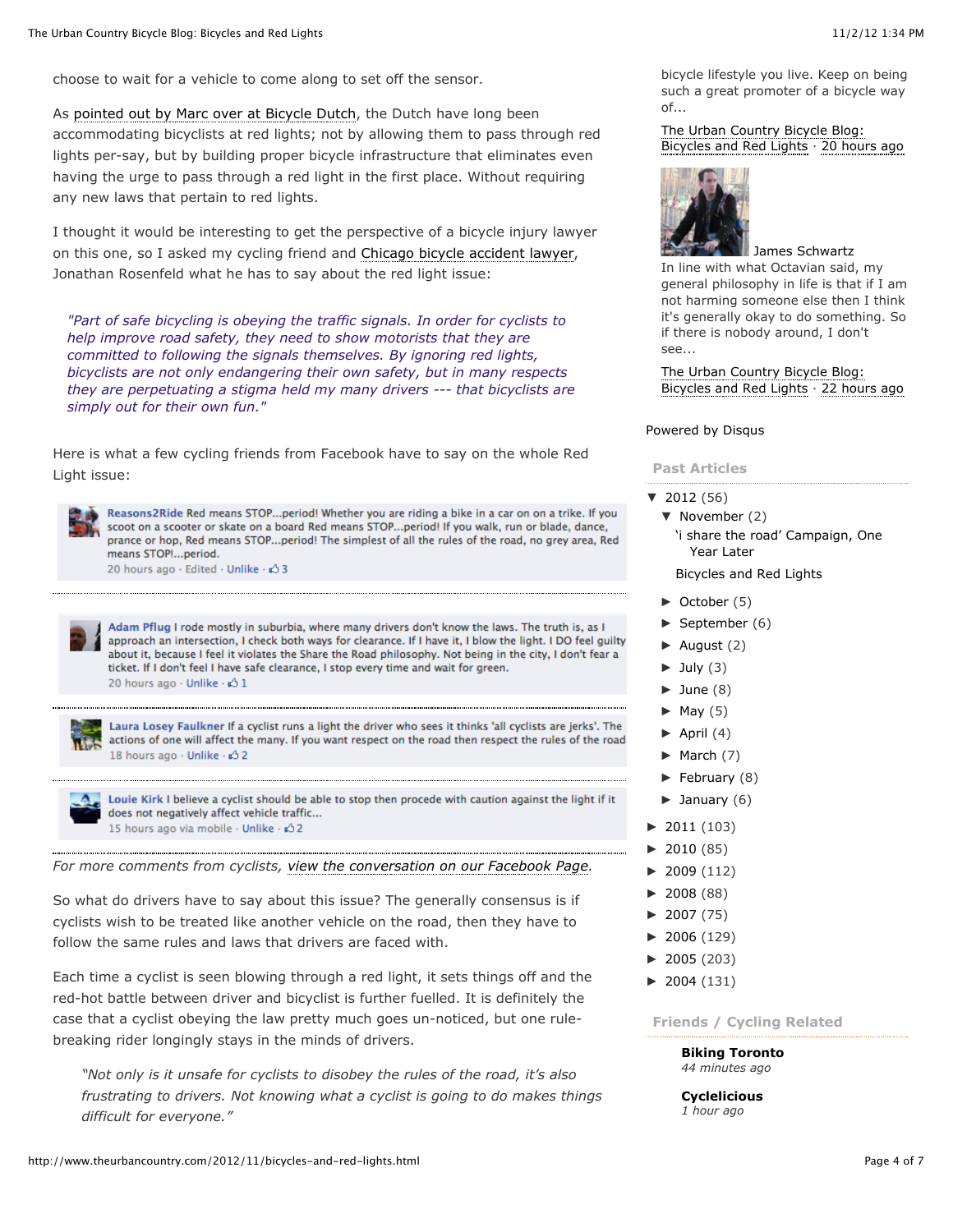choose to wait for a vehicle to come along to set off the sensor.

As [pointed out by Marc over at Bicycle Dutch,](http://bicycledutch.wordpress.com/2012/10/25/cycling-past-red-lights-its-legal-in-the-netherlands/) the Dutch have long been accommodating bicyclists at red lights; not by allowing them to pass through red lights per-say, but by building proper bicycle infrastructure that eliminates even having the urge to pass through a red light in the first place. Without requiring any new laws that pertain to red lights.

I thought it would be interesting to get the perspective of a bicycle injury lawyer on this one, so I asked my cycling friend and [Chicago bicycle accident lawyer,](http://www.rosenfeldinjurylawyers.com/practice/motor-vehicle-accidents/bicycle-accidents/) Jonathan Rosenfeld what he has to say about the red light issue:

*"Part of safe bicycling is obeying the traffic signals. In order for cyclists to help improve road safety, they need to show motorists that they are committed to following the signals themselves. By ignoring red lights, bicyclists are not only endangering their own safety, but in many respects they are perpetuating a stigma held my many drivers --- that bicyclists are simply out for their own fun."*

Here is what a few cycling friends from Facebook have to say on the whole Red Light issue:



Reasons2Ride Red means STOP...period! Whether you are riding a bike in a car on on a trike. If you scoot on a scooter or skate on a board Red means STOP...period! If you walk, run or blade, dance. prance or hop, Red means STOP...period! The simplest of all the rules of the road, no grey area, Red means STOP !... period.

20 hours ago - Edited - Unlike - Ø 3

Adam Pflug I rode mostly in suburbia, where many drivers don't know the laws. The truth is, as I approach an intersection, I check both ways for clearance. If I have it, I blow the light. I DO feel guilty about it, because I feel it violates the Share the Road philosophy. Not being in the city, I don't fear a ticket. If I don't feel I have safe clearance, I stop every time and wait for green. 20 hours ago - Unlike - 3 1



Laura Losey Faulkner If a cyclist runs a light the driver who sees it thinks 'all cyclists are jerks'. The actions of one will affect the many. If you want respect on the road then respect the rules of the road 18 hours ago - Unlike - c3 2



Louie Kirk I believe a cyclist should be able to stop then procede with caution against the light if it does not negatively affect vehicle traffic... 15 hours ago via mobile · Unlike · < 2

*For more comments from cyclists, [view the conversation on our Facebook Page](https://www.facebook.com/lovingthebike/posts/10151106415355878?notif_t=feed_comment).*

So what do drivers have to say about this issue? The generally consensus is if cyclists wish to be treated like another vehicle on the road, then they have to follow the same rules and laws that drivers are faced with.

Each time a cyclist is seen blowing through a red light, it sets things off and the red-hot battle between driver and bicyclist is further fuelled. It is definitely the case that a cyclist obeying the law pretty much goes un-noticed, but one rulebreaking rider longingly stays in the minds of drivers.

*"Not only is it unsafe for cyclists to disobey the rules of the road, it's also frustrating to drivers. Not knowing what a cyclist is going to do makes things difficult for everyone."*

bicycle lifestyle you live. Keep on being such a great promoter of a bicycle way of...

[The Urban Country Bicycle Blog:](http://www.theurbancountry.com/2012/11/bicycles-and-red-lights.html) Bicycles and Red Lights  $\cdot$  [20 hours ago](http://www.theurbancountry.com/2012/11/bicycles-and-red-lights.html#comment-698198902)



#### [James Schwartz](http://disqus.com/theurbancountry/)

In line with what Octavian said, my general philosophy in life is that if I am not harming someone else then I think it's generally okay to do something. So if there is nobody around, I don't see...

[The Urban Country Bicycle Blog:](http://www.theurbancountry.com/2012/11/bicycles-and-red-lights.html) Bicycles and Red Lights  $\cdot$  [22 hours ago](http://www.theurbancountry.com/2012/11/bicycles-and-red-lights.html#comment-698108193)

#### [Powered by Disqus](http://disqus.com/)

# **Past Articles**

- $\blacktriangledown$  [2012](http://www.theurbancountry.com/search?updated-min=2012-01-01T00:00:00-05:00&updated-max=2013-01-01T00:00:00-05:00&max-results=50) (56)
	- ▼ [November](http://www.theurbancountry.com/2012_11_01_archive.html) (2)
	- ['i share the road' Campaign, One](http://www.theurbancountry.com/2012/10/i-share-road-campaign-one-year-later.html) Year Later

[Bicycles and Red Lights](http://www.theurbancountry.com/2012/11/bicycles-and-red-lights.html)

- $\blacktriangleright$  [October](http://www.theurbancountry.com/2012_10_01_archive.html) (5)
- $\blacktriangleright$  [September](http://www.theurbancountry.com/2012_09_01_archive.html) (6)
- $\blacktriangleright$  [August](http://www.theurbancountry.com/2012_08_01_archive.html) (2)
- $\blacktriangleright$  [July](http://www.theurbancountry.com/2012_07_01_archive.html) (3)
- $\blacktriangleright$  [June](http://www.theurbancountry.com/2012_06_01_archive.html) (8)
- $\blacktriangleright$  [May](http://www.theurbancountry.com/2012_05_01_archive.html) (5)
- $\blacktriangleright$  [April](http://www.theurbancountry.com/2012_04_01_archive.html) (4)
- $\blacktriangleright$  [March](http://www.theurbancountry.com/2012_03_01_archive.html) (7)
- $\blacktriangleright$  [February](http://www.theurbancountry.com/2012_02_01_archive.html) (8)
- $\blacktriangleright$  [January](http://www.theurbancountry.com/2012_01_01_archive.html) (6)
- $\blacktriangleright$  [2011](http://www.theurbancountry.com/search?updated-min=2011-01-01T00:00:00-05:00&updated-max=2012-01-01T00:00:00-05:00&max-results=50) (103)
- $\blacktriangleright$  [2010](http://www.theurbancountry.com/search?updated-min=2010-01-01T00:00:00-05:00&updated-max=2011-01-01T00:00:00-05:00&max-results=50) (85)
- $\blacktriangleright$  [2009](http://www.theurbancountry.com/search?updated-min=2009-01-01T00:00:00-05:00&updated-max=2010-01-01T00:00:00-05:00&max-results=50) (112)
- $\blacktriangleright$  [2008](http://www.theurbancountry.com/search?updated-min=2008-01-01T00:00:00-05:00&updated-max=2009-01-01T00:00:00-05:00&max-results=50) (88)
- $\blacktriangleright$  [2007](http://www.theurbancountry.com/search?updated-min=2007-01-01T00:00:00-05:00&updated-max=2008-01-01T00:00:00-05:00&max-results=50) (75)
- $\blacktriangleright$  [2006](http://www.theurbancountry.com/search?updated-min=2006-01-01T00:00:00-05:00&updated-max=2007-01-01T00:00:00-05:00&max-results=50) (129)
- $\blacktriangleright$  [2005](http://www.theurbancountry.com/search?updated-min=2005-01-01T00:00:00-05:00&updated-max=2006-01-01T00:00:00-05:00&max-results=50) (203)
- $\blacktriangleright$  [2004](http://www.theurbancountry.com/search?updated-min=2004-01-01T00:00:00-05:00&updated-max=2005-01-01T00:00:00-05:00&max-results=50) (131)

**Friends / Cycling Related**

**[Biking Toronto](http://bikingtoronto.com/)** *44 minutes ago*

**[Cyclelicious](http://www.cyclelicio.us/)** *1 hour ago*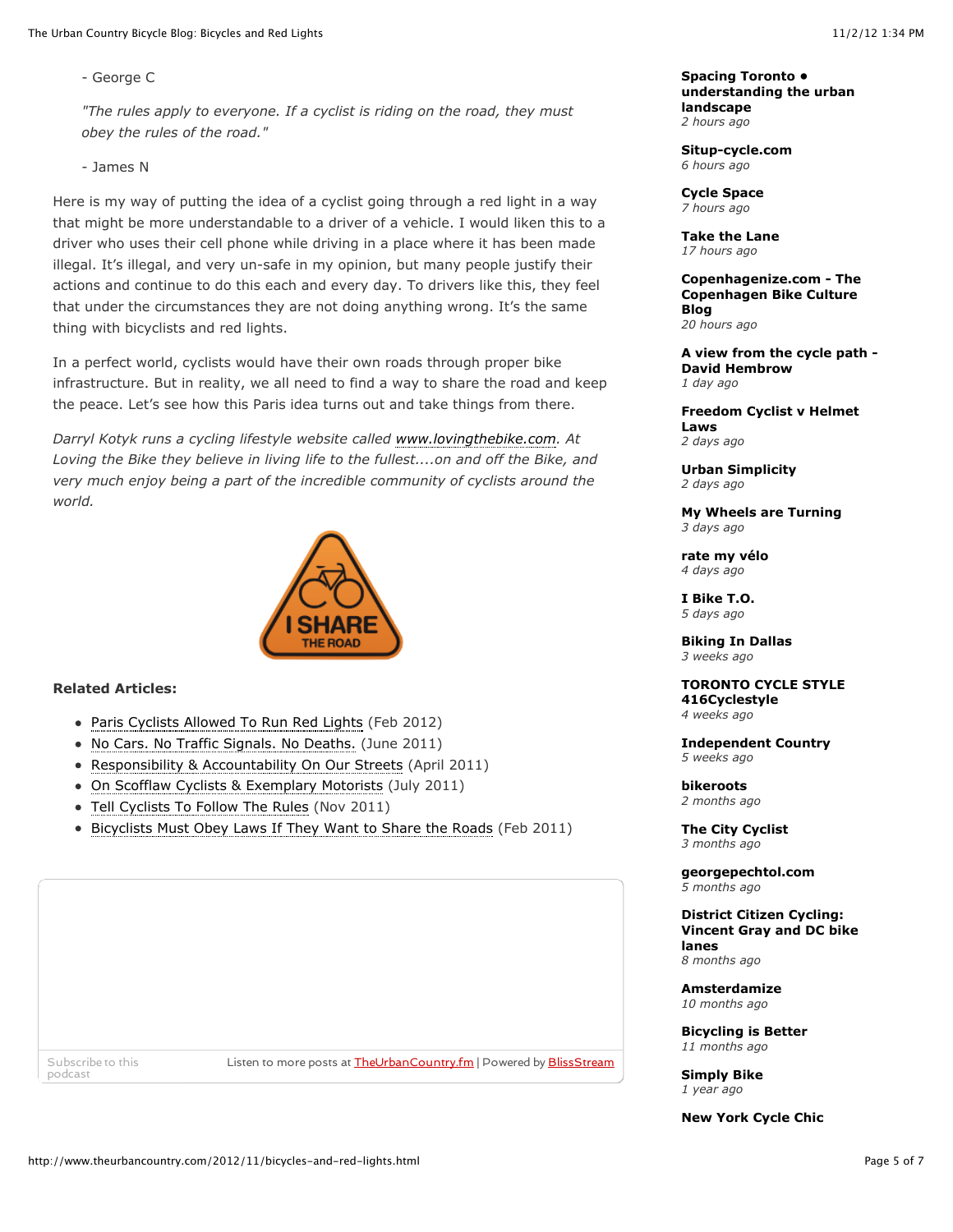- George C

*"The rules apply to everyone. If a cyclist is riding on the road, they must obey the rules of the road."*

- James N

Here is my way of putting the idea of a cyclist going through a red light in a way that might be more understandable to a driver of a vehicle. I would liken this to a driver who uses their cell phone while driving in a place where it has been made illegal. It's illegal, and very un-safe in my opinion, but many people justify their actions and continue to do this each and every day. To drivers like this, they feel that under the circumstances they are not doing anything wrong. It's the same thing with bicyclists and red lights.

In a perfect world, cyclists would have their own roads through proper bike infrastructure. But in reality, we all need to find a way to share the road and keep the peace. Let's see how this Paris idea turns out and take things from there.

*Darryl Kotyk runs a cycling lifestyle website called [www.lovingthebike.com.](http://lovingthebike.com/) At Loving the Bike they believe in living life to the fullest....on and off the Bike, and very much enjoy being a part of the incredible community of cyclists around the world.*



## **Related Articles:**

- [Paris Cyclists Allowed To Run Red Lights](http://www.theurbancountry.com/2012/02/paris-cyclists-allowed-to-run-red.html) (Feb 2012)
- [No Cars. No Traffic Signals. No Deaths.](http://www.theurbancountry.com/2011/06/no-cars-no-traffic-signals-no-deaths.html) (June 2011)
- [Responsibility & Accountability On Our Streets](http://www.theurbancountry.com/2011/04/responsibility-accountability-on-our.html) (April 2011)
- [On Scofflaw Cyclists & Exemplary Motorists](http://www.theurbancountry.com/2011/07/on-scofflaw-cyclists-exemplary.html) (July 2011)
- [Tell Cyclists To Follow The Rules](http://www.theurbancountry.com/2011/11/tell-cyclists-to-follow-rules.html) (Nov 2011)
- [Bicyclists Must Obey Laws If They Want to Share the Roads](http://www.theurbancountry.com/2011/02/bicyclists-must-obey-laws-if-they-want.html) (Feb 2011)

podcast

[Subscribe to this](http://www.blissstream.com/soundcloud/upload?url=http://www.theurbancountry.com/2012/11/bicycles-and-red-lights.html&siteId=theurbancountry.fm&month=tp://www.theurbancountry.com/2012/#) **Listen to more posts at [TheUrbanCountry.fm](http://www.blissstream.com/station/theurbancountry.fm/)** | Powered by **BlissStream** 

**Spacing Toronto • [understanding the urban](http://spacingtoronto.ca/) landscape** *2 hours ago*

**[Situp-cycle.com](http://www.situp-cycle.com/)** *6 hours ago*

**[Cycle Space](http://cycle-space.com/)** *7 hours ago*

**[Take the Lane](http://therecord.blogs.com/take_the_lane/)** *17 hours ago*

**[Copenhagenize.com - The](http://www.copenhagenize.com/) Copenhagen Bike Culture Blog** *20 hours ago*

**[A view from the cycle path -](http://www.aviewfromthecyclepath.com/) David Hembrow** *1 day ago*

**[Freedom Cyclist v Helmet](http://freedomcyclist.blogspot.com/) Laws** *2 days ago*

**[Urban Simplicity](http://www.urbansimplicity.com/)** *2 days ago*

**[My Wheels are Turning](http://mywheelsareturning.com/)** *3 days ago*

**[rate my vélo](http://www.ratemyvelo.com/)** *4 days ago*

**[I Bike T.O.](http://www.ibiketo.ca/)** *5 days ago*

**[Biking In Dallas](http://www.bikingindallas.com/)** *3 weeks ago*

**[TORONTO CYCLE STYLE](http://www.416cyclestyle.com/) 416Cyclestyle**

*4 weeks ago*

**[Independent Country](http://independentcountry.blogspot.com/)** *5 weeks ago*

**[bikeroots](http://www.bikeroots.ca/)** *2 months ago*

**[The City Cyclist](http://thecitycyclist.blogspot.com/)** *3 months ago*

**[georgepechtol.com](http://www.georgepechtol.com/)** *5 months ago*

**District Citizen Cycling: [Vincent Gray and DC bike](http://dccycling.blogspot.com/) lanes** *8 months ago*

**[Amsterdamize](http://amsterdamize.com/)** *10 months ago*

**[Bicycling is Better](http://mighkwilson.com/)** *11 months ago*

**[Simply Bike](http://simplybike.wordpress.com/)** *1 year ago*

**[New York Cycle Chic](http://nycyclechic.blogspot.com/)**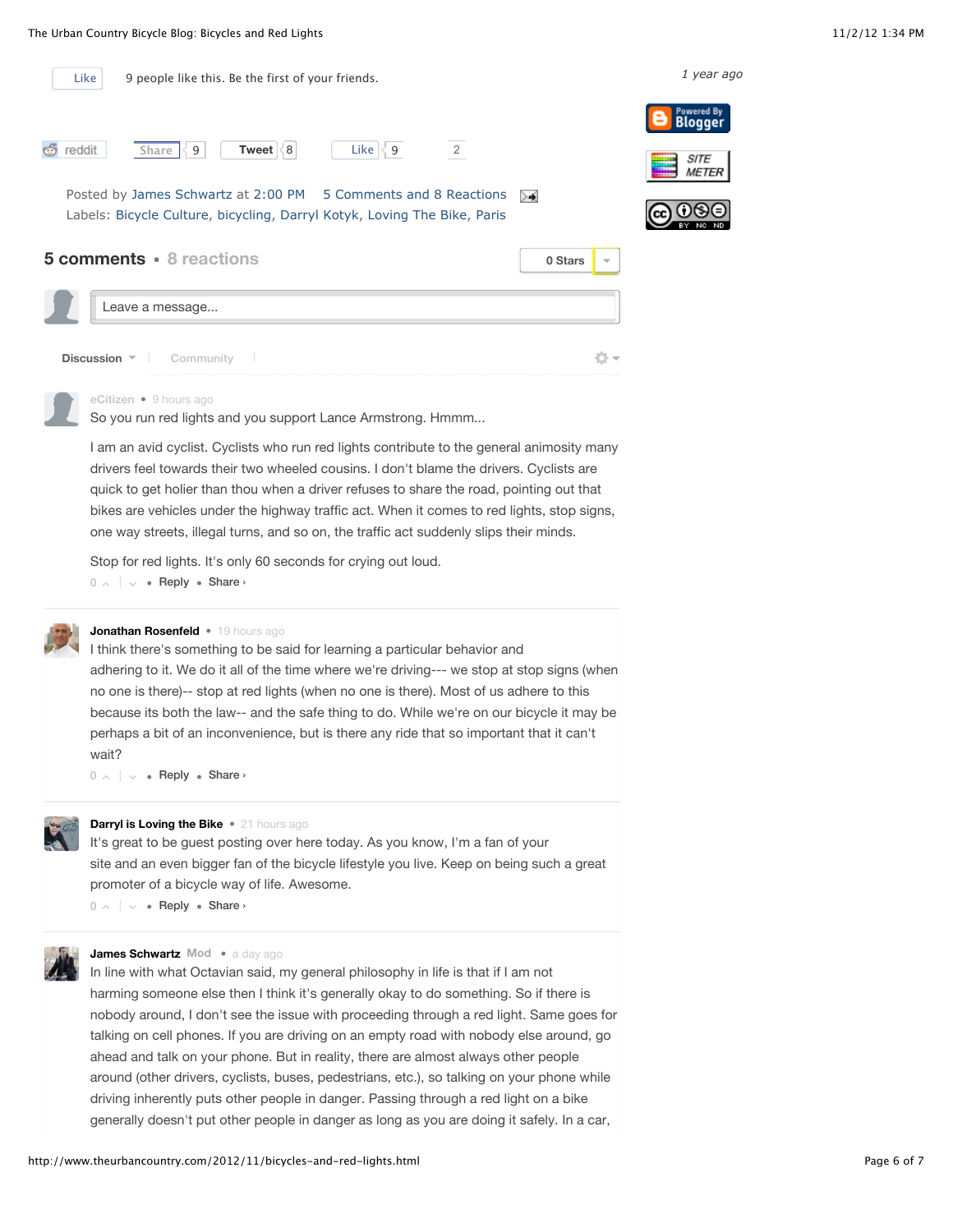